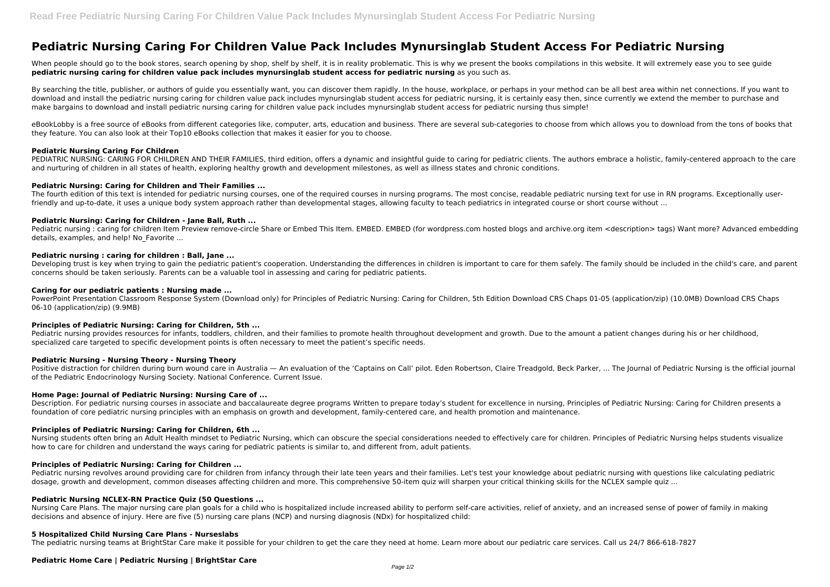# **Pediatric Nursing Caring For Children Value Pack Includes Mynursinglab Student Access For Pediatric Nursing**

When people should go to the book stores, search opening by shop, shelf by shelf, it is in reality problematic. This is why we present the books compilations in this website. It will extremely ease you to see guide **pediatric nursing caring for children value pack includes mynursinglab student access for pediatric nursing** as you such as.

By searching the title, publisher, or authors of quide you essentially want, you can discover them rapidly. In the house, workplace, or perhaps in your method can be all best area within net connections. If you want to download and install the pediatric nursing caring for children value pack includes mynursinglab student access for pediatric nursing, it is certainly easy then, since currently we extend the member to purchase and make bargains to download and install pediatric nursing caring for children value pack includes mynursinglab student access for pediatric nursing thus simple!

eBookLobby is a free source of eBooks from different categories like, computer, arts, education and business. There are several sub-categories to choose from which allows you to download from the tons of books that they feature. You can also look at their Top10 eBooks collection that makes it easier for you to choose.

PEDIATRIC NURSING: CARING FOR CHILDREN AND THEIR FAMILIES, third edition, offers a dynamic and insightful guide to caring for pediatric clients. The authors embrace a holistic, family-centered approach to the care and nurturing of children in all states of health, exploring healthy growth and development milestones, as well as illness states and chronic conditions.

The fourth edition of this text is intended for pediatric nursing courses, one of the required courses in nursing programs. The most concise, readable pediatric nursing text for use in RN programs. Exceptionally userfriendly and up-to-date, it uses a unique body system approach rather than developmental stages, allowing faculty to teach pediatrics in integrated course or short course without ...

Pediatric nursing : caring for children Item Preview remove-circle Share or Embed This Item. EMBED. EMBED (for wordpress.com hosted blogs and archive.org item <description> tags) Want more? Advanced embedding details, examples, and help! No Favorite ...

# **Pediatric Nursing Caring For Children**

Developing trust is key when trying to gain the pediatric patient's cooperation. Understanding the differences in children is important to care for them safely. The family should be included in the child's care, and parent concerns should be taken seriously. Parents can be a valuable tool in assessing and caring for pediatric patients.

PowerPoint Presentation Classroom Response System (Download only) for Principles of Pediatric Nursing: Caring for Children, 5th Edition Download CRS Chaps 01-05 (application/zip) (10.0MB) Download CRS Chaps 06-10 (application/zip) (9.9MB)

Pediatric nursing provides resources for infants, toddlers, children, and their families to promote health throughout development and growth. Due to the amount a patient changes during his or her childhood, specialized care targeted to specific development points is often necessary to meet the patient's specific needs.

#### **Pediatric Nursing: Caring for Children and Their Families ...**

Positive distraction for children during burn wound care in Australia - An evaluation of the 'Captains on Call' pilot. Eden Robertson, Claire Treadgold, Beck Parker, ... The Journal of Pediatric Nursing is the official jou of the Pediatric Endocrinology Nursing Society. National Conference. Current Issue.

# **Pediatric Nursing: Caring for Children - Jane Ball, Ruth ...**

Nursing students often bring an Adult Health mindset to Pediatric Nursing, which can obscure the special considerations needed to effectively care for children. Principles of Pediatric Nursing helps students visualize how to care for children and understand the ways caring for pediatric patients is similar to, and different from, adult patients.

# **Pediatric nursing : caring for children : Ball, Jane ...**

Nursing Care Plans. The major nursing care plan goals for a child who is hospitalized include increased ability to perform self-care activities, relief of anxiety, and an increased sense of power of family in making decisions and absence of injury. Here are five (5) nursing care plans (NCP) and nursing diagnosis (NDx) for hospitalized child:

#### **Caring for our pediatric patients : Nursing made ...**

# **Principles of Pediatric Nursing: Caring for Children, 5th ...**

# **Pediatric Nursing - Nursing Theory - Nursing Theory**

# **Home Page: Journal of Pediatric Nursing: Nursing Care of ...**

Description. For pediatric nursing courses in associate and baccalaureate degree programs Written to prepare today's student for excellence in nursing, Principles of Pediatric Nursing: Caring for Children presents a foundation of core pediatric nursing principles with an emphasis on growth and development, family-centered care, and health promotion and maintenance.

# **Principles of Pediatric Nursing: Caring for Children, 6th ...**

# **Principles of Pediatric Nursing: Caring for Children ...**

Pediatric nursing revolves around providing care for children from infancy through their late teen years and their families. Let's test your knowledge about pediatric nursing with questions like calculating pediatric dosage, growth and development, common diseases affecting children and more. This comprehensive 50-item quiz will sharpen your critical thinking skills for the NCLEX sample quiz ...

# **Pediatric Nursing NCLEX-RN Practice Quiz (50 Questions ...**

# **5 Hospitalized Child Nursing Care Plans - Nurseslabs**

The pediatric nursing teams at BrightStar Care make it possible for your children to get the care they need at home. Learn more about our pediatric care services. Call us 24/7 866-618-7827

# **Pediatric Home Care | Pediatric Nursing | BrightStar Care**